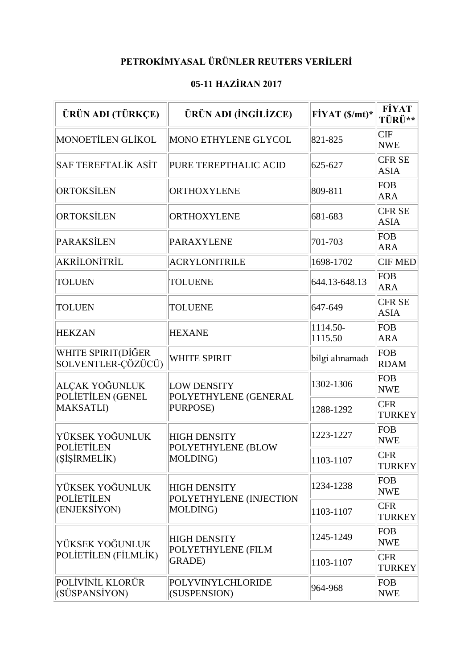## **PETROKİMYASAL ÜRÜNLER REUTERS VERİLERİ**

## **05-11 HAZİRAN 2017**

| ÜRÜN ADI (TÜRKÇE)                                    | ÜRÜN ADI (İNGİLİZCE)                                       | $FiYAT(S/mt)*$      | <b>FİYAT</b><br>TÜRÜ**       |
|------------------------------------------------------|------------------------------------------------------------|---------------------|------------------------------|
| <b>MONOETILEN GLIKOL</b>                             | MONO ETHYLENE GLYCOL                                       | 821-825             | <b>CIF</b><br><b>NWE</b>     |
| <b>SAF TEREFTALIK ASIT</b>                           | PURE TEREPTHALIC ACID                                      | 625-627             | <b>CFR SE</b><br><b>ASIA</b> |
| <b>ORTOKSİLEN</b>                                    | <b>ORTHOXYLENE</b>                                         | 809-811             | <b>FOB</b><br><b>ARA</b>     |
| <b>ORTOKSİLEN</b>                                    | ORTHOXYLENE                                                | 681-683             | <b>CFR SE</b><br><b>ASIA</b> |
| <b>PARAKSİLEN</b>                                    | <b>PARAXYLENE</b>                                          | 701-703             | <b>FOB</b><br><b>ARA</b>     |
| AKRİLONİTRİL                                         | <b>ACRYLONITRILE</b>                                       | 1698-1702           | <b>CIF MED</b>               |
| <b>TOLUEN</b>                                        | <b>TOLUENE</b>                                             | 644.13-648.13       | FOB<br><b>ARA</b>            |
| <b>TOLUEN</b>                                        | <b>TOLUENE</b>                                             | 647-649             | <b>CFR SE</b><br><b>ASIA</b> |
| <b>HEKZAN</b>                                        | <b>HEXANE</b>                                              | 1114.50-<br>1115.50 | <b>FOB</b><br><b>ARA</b>     |
| WHITE SPIRIT(DİĞER<br>SOLVENTLER-ÇÖZÜCÜ)             | <b>WHITE SPIRIT</b>                                        | bilgi alınamadı     | FOB<br><b>RDAM</b>           |
| ALÇAK YOĞUNLUK<br>POLIETILEN (GENEL<br>MAKSATLI)     | LOW DENSITY<br>POLYETHYLENE (GENERAL<br>PURPOSE)           | 1302-1306           | <b>FOB</b><br><b>NWE</b>     |
|                                                      |                                                            | 1288-1292           | <b>CFR</b><br><b>TURKEY</b>  |
| YÜKSEK YOĞUNLUK<br><b>POLIETILEN</b><br>(ŞİŞİRMELİK) | <b>HIGH DENSITY</b><br>POLYETHYLENE (BLOW<br>MOLDING)      | 1223-1227           | FOB<br><b>NWE</b>            |
|                                                      |                                                            | 1103-1107           | <b>CFR</b><br><b>TURKEY</b>  |
| YÜKSEK YOĞUNLUK<br><b>POLIETILEN</b><br>(ENJEKSİYON) | <b>HIGH DENSITY</b><br>POLYETHYLENE (INJECTION<br>MOLDING) | 1234-1238           | FOB<br><b>NWE</b>            |
|                                                      |                                                            | 1103-1107           | <b>CFR</b><br><b>TURKEY</b>  |
| YÜKSEK YOĞUNLUK<br>POLİETİLEN (FİLMLİK)              | <b>HIGH DENSITY</b>                                        | 1245-1249           | FOB<br><b>NWE</b>            |
|                                                      | POLYETHYLENE (FILM<br><b>GRADE</b> )                       | 1103-1107           | <b>CFR</b><br><b>TURKEY</b>  |
| POLIVINIL KLORÜR<br>(SÜSPANSİYON)                    | POLYVINYLCHLORIDE<br>(SUSPENSION)                          | 964-968             | FOB<br><b>NWE</b>            |